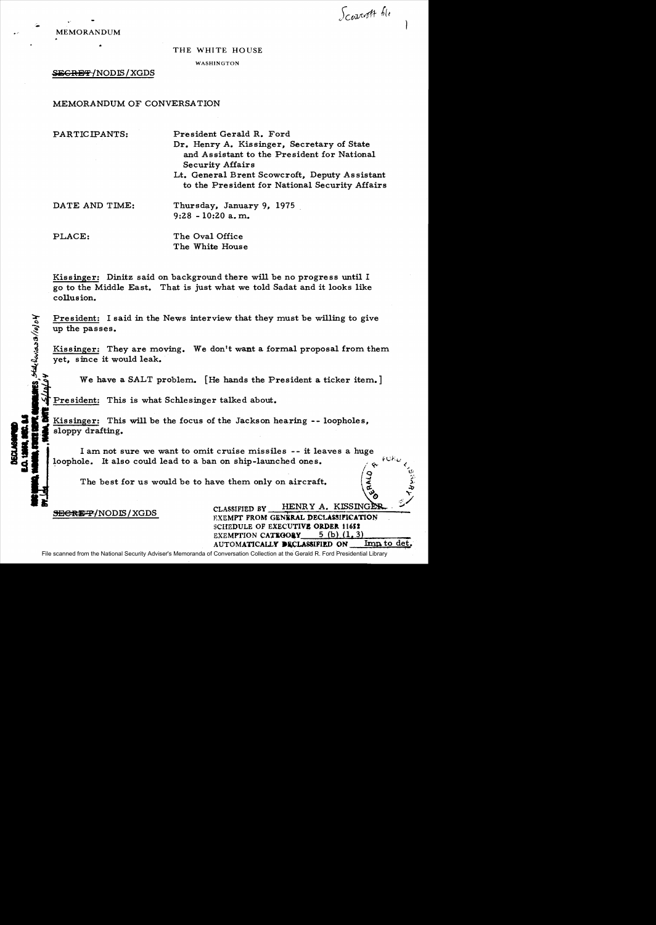

Scowcott file

THE WHITE HOUSE

WASHINGTON

S~GRE'f *INODIS* / XGDS

# MEMORANDUM OF CONVERSATION

PARTICIPANTS:

President Gerald R. Ford Dr. Henry A. Kissinger, Secretary of State and Assistant to the President for National Security Affairs

Lt. General Brent Scowcroft, Deputy As sistant to the President for National Security Affairs

DATE AND TIME:

Thursday, January 9, 1975 9:28 - 10:20 a. m.

PLACE:

ት $\tilde{\bm{s}}$  $\sigma/\sigma$  The Oval Office The White House

Kissinger: Dinitz said on background there will be no progress until I go to the Middle East. That is just what we told Sadat and it looks like collusion.

President: I said in the News interview that they must be willing to give up the passes.

Kissinger: They are moving. We don't want a formal proposal from them yet, since it would leak.

We have a SALT problem. [He hands the President a ticker item.]

President: This is what Schlesinger talked about.

Kissinger: This will be the focus of the Jackson hearing -- loopholes, sloppy drafting.

I am not sure we want to omit cruise missiles -- it leaves a huge loophole. It also could lead to a ban on ship-launched ones.

The best for us would be to have them only on aircraft.

SECREP/NODIS/XGDS CLASSIFIED BY HENRY A. KISSINGER SCHEDULE OF EXECUTIVE ORDER 11652 EXEMPTION CATEGORY  $5$  (b) (1, 3) AUTOMATICALLY DECLASSIFIED ON Imp to det.

 $\frac{1}{2}$  ...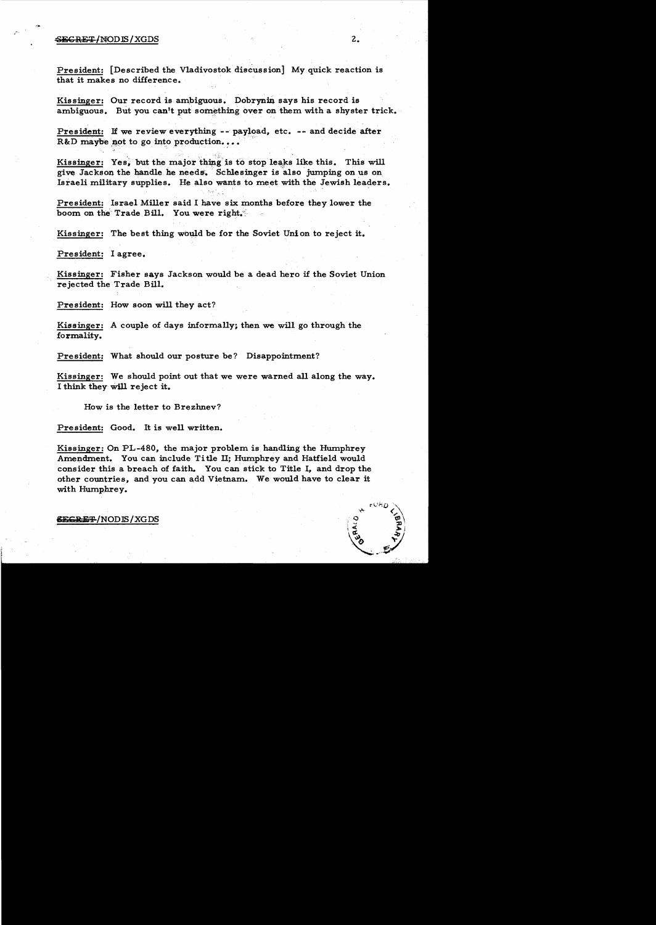### $\overline{\text{SEGREF}}/\text{MODIS}/\text{XGDS}$  2.

President: [Described the Vladivostok discussion] My quick reaction is that it makes no difference. .

Kissinger: Our record is ambiguous. Dobrynin says his record is ambiguous. But you can't put something over on them with a shyster trick.

President: If we review everything -- payload, etc. -- and decide after  $R&D$  maybe not to go into production...

Kissinger: Yes, but the major thing is to stop leaks like this. This will give Jackson the handle he needs. Schlesinger is also jumping on us on Israeli military supplies. He also wants to meet with the Jewish leaders.

President: Israel Miller said I have six months before they lower the boom on the Trade Bill. You were right.

Kissinger: The best thing would be for the Soviet Union to reject it.

President: I agree.

Kissinger: Fisher says Jackson would be a dead hero if the Soviet Union rejected the Trade Bill.

President: How soon will they act?

Kissinger: A couple of days informally; then we will go through the formality.

President: What should our posture be? Disappointment?

Kissinger: We should point out that we were warned all along the way. I think they Will reject it.

How is the letter to Brezhnev?

President: Good. It is well written.

Kissinger: On PL-480, the major problem is handling the Humphrey Amendment. You can include Title II; Humphrey and Hatfield would consider this a breach of faith. You can stick to Title I, and drop the other countries, and you can add Vietnam. We would have to clear it with Humphrey.

6EGRET/NODIS/XGDS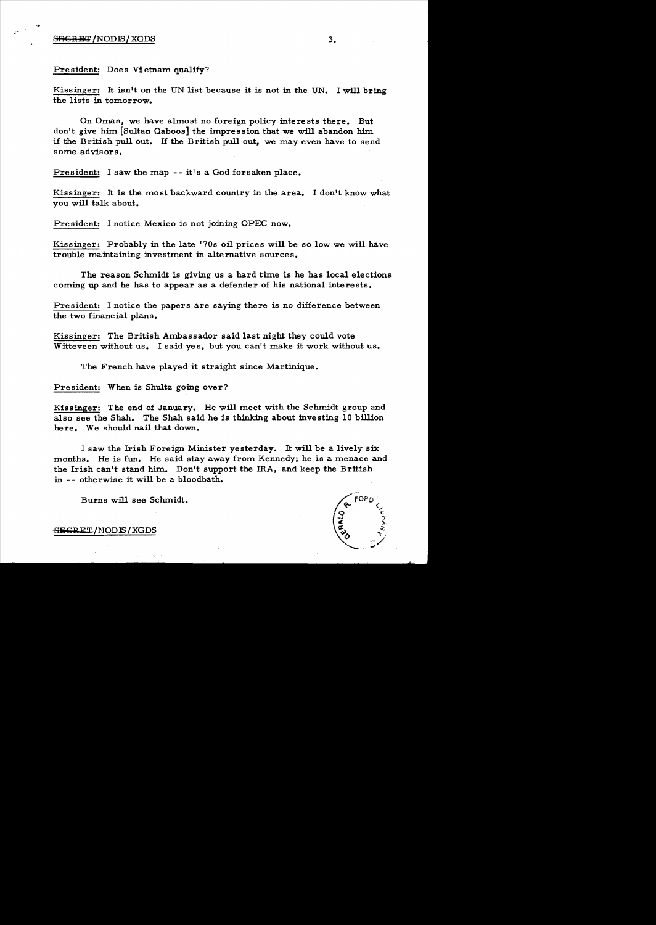## $S_{\text{BGRiff}}$  /NODIS/XGDS  $3.$

President: Does Vietnam qualify?

Kissinger: It isn't on the UN list because it is not in the UN. I will bring the lists in tomorrow.

On Oman, we have almost no foreign policy interests there. But don't give him [Sultan Qaboos] the impression that we will abandon him. if the British pull out. If the British pull out, we may even have to send some advisors.

President: I saw the map -- it's a God forsaken place.

Kissinger: It is the most backward country in the area. I don't know what you will talk about.

Pre sident: I notice Mexico is not joining OPEC now.

Kissinger: Probably in the late '70s oil prices will be so low we will have trouble maintaining investment in alternative sources.

The reason Schmidt is giving us a hard time is he has local elections coming up and he has to appear as a defender of his national interests.

President: I notice the papers are saying there is no difference between the two financial plans.

Kissinger: The British Ambassador said last night they could vote Witteveen without us. I said yes, but you can't make it work without us.

The French have played it straight since Martinique.

President: When is Shultz going over?

Kissinger: The end of January. He will meet with the Schmidt group and also see the Shah. The Shah said he is thinking about investing 10 billion here. We should nail that down.

I saw the Irish Foreign Minister yesterday. It will be a lively six months. He is fun. He said stay away from Kennedy; he is a menace and the Irish can't stand him. Don't support the IRA, and keep the British in -- otherwise it will be a bloodbath.

Burns will see Schmidt.

SECRET/NODE / XGDS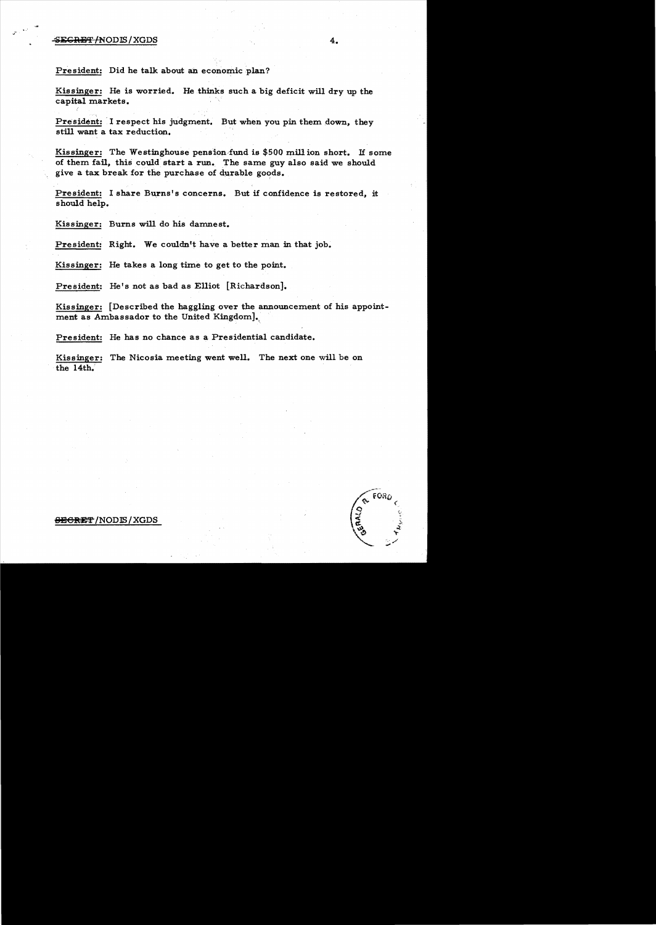#### $\overline{\textbf{EGRET}}$   $\cdot$   $\overline{\textbf{NODIS}}$   $\cdot$   $\overline{\textbf{XGDS}}$   $\overline{\textbf{3.5}}$   $\overline{\textbf{4.5}}$

President: Did he talk about an economic plan?

Kissinger: He is worried. He thinks such a big deficit will dry up the capital markets.

President: I respect his judgment. But when you pin them down, they still want a tax reduction.

Kissinger: The Westinghouse pension fund is  $$500$  mill ion short. If some of them fail, this could start a run. The same guy also said we should give a tax break for the purchase of durable goods.

President: I share Burns's concerns. But if confidence is restored. it should help.

Kissinger: Burns will do his damnest.

President: Right. We couldn't have a better man in that job.

Kissinger: He takes a long time to get to the point.

President: He's not as bad as Elliot [Richardson].

Kissinger: [Described the haggling over the announcement of his appointment as Ambassador to the United Kingdom].

President: He has no chance as a Presidential candidate.

Kissinger: The Nicosia meeting went well. The next one will be on the 14th.'



#### $\overline{\text{EBGREF}}$ /NODIS/XGDS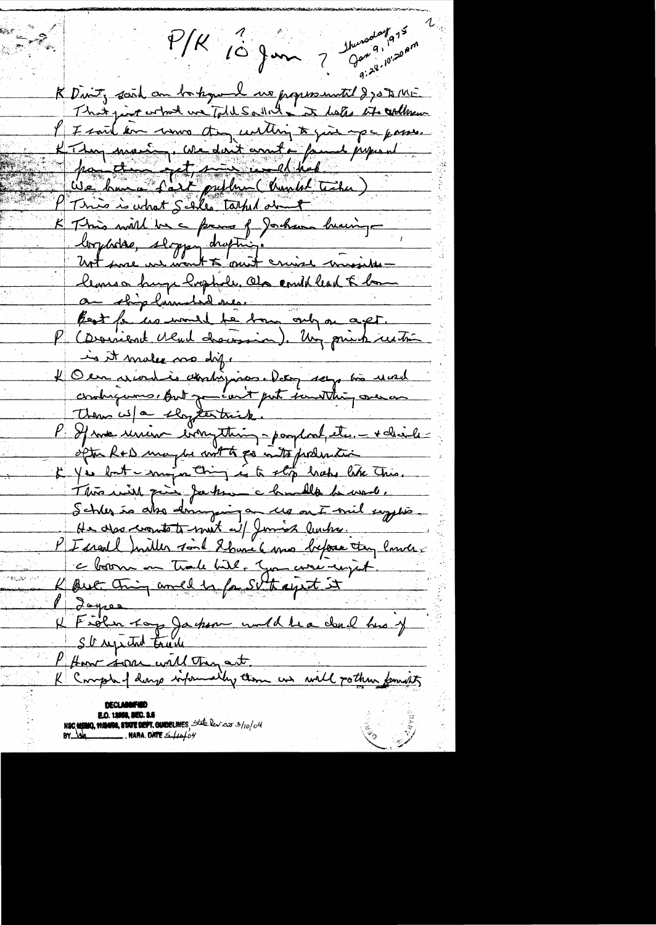Shunaday 975  $P/K$  10 gm ? 9:28.10.20 AM K Divit, scrit au bastogue de ma propose until 270 to 145 I I said en une don until to qui upe posse. K Thompson avec dont count a famme proposed K This will be a frame of Joshann huming logérise, sloppen chapting.<br>Unt since une mont à moit crime monsieurs lemson huga hophole, als could lead & home au stig humsted me.<br>Bost fauce would te bour only on a get. in it males no dif. 4 Our arion die abriligation. Detry sego très usual contrigueme dut partie part imatthing over an P If me union everything-parpent, etc. - + chaile ofte R+D maybe with go with politic je je lont mig a ting és te stop habe tite This. Schles is also doinguigan us ont mil systion He des cronts to met a / Junios lunha PI cred huiller sont 2 have 6 mo before try land. c born en trale bithe June corre regist. K But thing and is fa SU thay it it P dayres<br>& Fiolen Toys Jackson would be a doul his if<br>I Home sera will then art.<br>R Comple I douge informatly thou we will potter formits **E.O. 13988, SEC. 3.5**<br>NSC MEMO, **1124108, STATE DEPT. GUIDELINES**, State lev.cs 3/10/04<br>NAMA. DATE S. HAPO, 04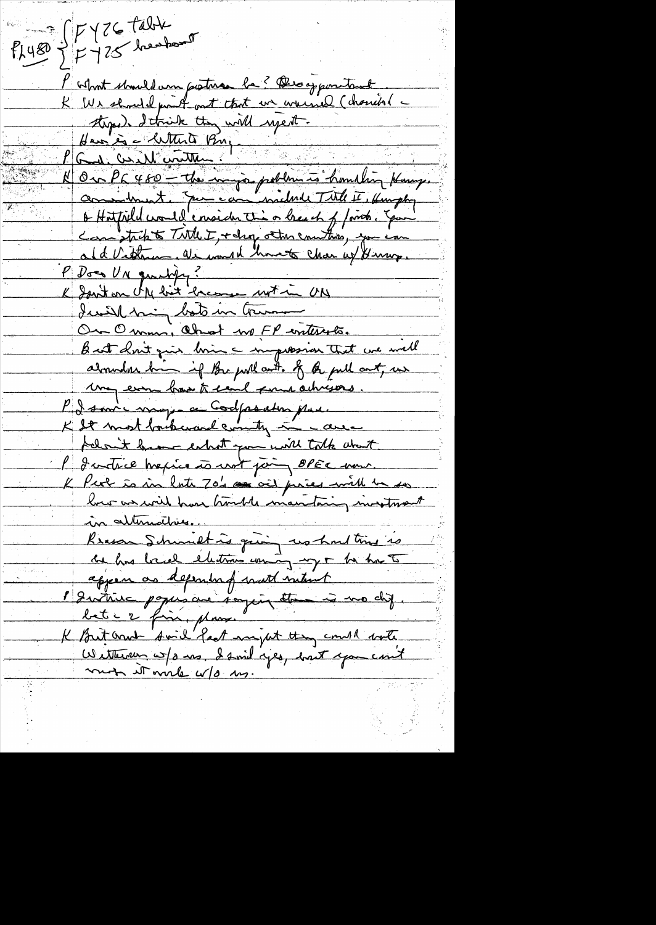$\rho_{1480} = \frac{1}{7} \frac{17426444}{1725} = 5$ l'about should am posture la? Des appointant K We should pront out that we warned (charrier theped I trick they will use it. Heuses Mitter Bug God, Conde control Ou Pa 480 - the mingo poblem à homelin Komp. o Hatpild would ensider this or breach of forces. You Can strikts Title I, + drop other counters, you and Vitteria, als would have chan up young P Does UN quality? K Janton UM bit known ut in UN Icell mig bots in Cruma On Omm, Ohnot we FP enterets. But don't give brin a mapossion that we will abounded bin if the pull ont. of the pull out, we May even has to send form achigous P I source may a ce Codposation pau. K It most backward country in case felow't have exhat you will talk what l'Instruct mexico à vot pain, OPEC mons. K Per is in late 70's as and pries with he how as will have hould mantaing investment in alternatives. Reason Schmittig quoi us hout time is appear as depending watt mitunt 1 Instinc populare saying the is no chip bet c 2 fins, plans. K But and Smil fast myat thing could note Wetternan w/s ms, I smil yes, back you count mon it will w/o us.